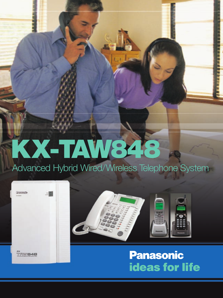# KX-TAW848

Advanced Hybrid Wired/Wireless Telephone System





**Panasonic ideas for life**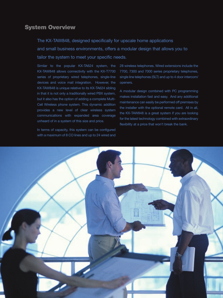# System Overview

The KX-TAW848, designed specifically for upscale home applications and small business environments, offers a modular design that allows you to tailor the system to meet your specific needs.

Similar to the popular KX-TA624 system, the KX-TAW848 allows connectivity with the KX-T7700 series of proprietary wired telephones, single-line devices and voice mail integration. However, the KX-TAW848 is unique relative to its KX-TA624 sibling in that it is not only a traditionally wired PBX system, but it also has the option of adding a complete Multi-Cell Wireless phone system. This dynamic addition provides a new level of clear wireless system communications with expanded area coverage unheard of in a system of this size and price.

In terms of capacity, this system can be configured with a maximum of 8 CO lines and up to 24 wired and

28 wireless telephones. Wired extensions include the 7700, 7300 and 7000 series proprietary telephones, single line telephones (SLT) and up to 4 door intercom/ openers.

A modular design combined with PC programming makes installation fast and easy. And any additional maintenance can easily be performed off premises by the installer with the optional remote card. All in all, the KX-TAW848 is a great system if you are looking for the latest technology combined with extraordinary flexibility at a price that won't break the bank.

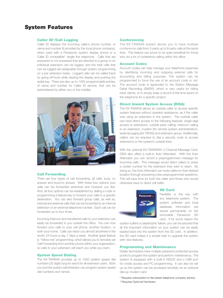# System Features

# **Caller ID<sup>1</sup>/Call Logging**

Caller ID displays the incoming caller's phone number, or name and number (if provided by the local phone company), when used with a Panasonic system display phone or a Caller ID compatible<sup>2</sup> single line telephone. Calls that are answered or not answered that are directed to a group or an individual extension can be logged, and the total calls that can be logged are assignable through system programming on a per extension basis. Logged calls can be called back by going off-hook while viewing the display and pushing the redial key. There are also up to 1000 programmable entries, of name and number for Caller ID service, that can be administered by either you or the installer.



#### Call Forwarding

There are four types of call forwarding: all calls, busy, no answer and busy/no answer. With these four options your calls can be forwarded whenever and however you like. And, all four options can be established by dialing a code or programming a feature key to forward your calls to a specific destination. You can also forward group calls, as well as, internal and external calls that can be forwarded to an internal extension or an external telephone number. Each call can be forwarded up to four times.

Incoming intercom and transferred calls to your extension can easily be forwarded to you outside the office. You can now forward your calls to your cell phone, another location, or even your home. Calls can reach you almost anywhere in the world, 24 hours a day, 7 days a week. Another great feature is "follow-me" programming, which allows you to remotely set Call Forwarding from another phone within your organization, so calls to your extension will reach you while you roam.

#### System Speed Dialing

The KX-TAW848 provides up to 1000 system speed dial numbers (32 digits long for each) for all extension users. Both you and the system administrator can program system speed dial numbers and names.

#### **Conferencing**

The KX-TAW848 system allows you to have multiple conference calls from 3-party up to 8-party calls at the same time. This feature can prove to be quite beneficial for those who do a lot of conference calling within the office.

## Account Codes

Account codes can help manage your telephone expenses by identifying incoming and outgoing external calls for accounting and billing purposes. The system can be programmed to force the use of an account code or not. The account code is appended to the Station Message Detail Recording (SMDR), which is very useful for billing back clients, or to simply keep a record of the time spent on the telephone for a specific project.

#### Direct Inward System Access (DISA)

The KX-TAW848 allows an outside caller to access specific system features without operator assistance, as if the caller was using an extension in the system. The outside caller can have direct access to the following features: single-digit access to extensions, outside party calling, intercom calling to an extension, modem (for remote system administration), external paging (for TAFAS) and extension group. Additionally, callers can be required to dial a security code to access extensions or the system's outside lines.

With the optional KX-TAW84891 2-Channel Message Card, DISA also offers a built-in Auto Attendant. With the Auto Attendant you can record a preprogrammed message for incoming calls. This message would direct callers to press a certain number for the extension they wish to reach. By doing so, the Auto Attendant can route callers to their desired location through answering a few preprogrammed questions. This will save time for both the caller and those who would otherwise have to direct call traffic.



#### SD Card

Flexibility is the key with any telephone system. The system software and local database information are stored permanently on the removable Panasonic SD card. If for some reason the

system suffers a catastrophic failure, you can be assured that all the important information on your system can be easily loaded back into the system from the SD card. In addition, the SD card makes it a simple task to upgrade the system with new features.

#### Programming and Maintenance

Dealer technicians have multiple password protected access points to program the system and perform maintenance. The system is equipped with a built-in RS232 and a USB port for onsite access and PC programming. It can also be set up so the system can be accessed remotely via an optional dial-up modem card.

<sup>1</sup> Requires subscription to fee-based telephone company service. 2 Requires Optional Hardware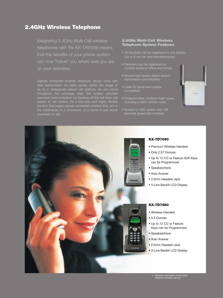# 2.4GHz Wireless Telephone

Integrating 2.4GHz Multi-Cell wireless telephones with the KX-TAW848 means that the benefits of your phone system can now "follow" you where ever you are on your premises.

Digitally enhanced wireless telephony allows voice and up to 4 strategically-placed cell stations. As you move station to cell station. It's a low-cost and highly flexible

# 2.4GHz Multi-Cell Wireless Telephone System Features

- 28 handsets can be registered to one system (Up to 8 can be used simultaneously)
- Handsets can be registered on
- Secure high-quality digital speech
- 
- Programmable, multiple ringer types,
- personal speed dial numbers





# KX-TD7690

- Premium Wireless Handset
- Only 2.57 Ounces
- Up to 12 CO or Feature Soft Keys can be Programmed
- Speakerphone
- Auto Answer
- 2.5mm Headset Jack
- 5-Line Backlit LCD Display

### KX-TD7680

- Wireless Handset
- 5.3 Ounces
- Up to 12 CO or Feature Keys can be Programmed
- Speakerphone
- Auto Answer
- 2.5mm Headset Jack
- 3-Line Backlit LCD Display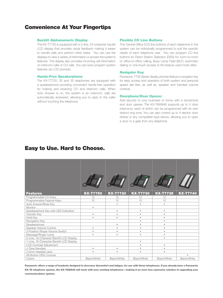# Convenience At Your Fingertips

#### Backlit Alphanumeric Display

The KX-T7735 is equipped with a 3–line, 24-character backlit LCD display that provides visual feedback making it easier to handle calls and perform other tasks. You can use the displays to view a variety of information or access the system's features. The display also provides incoming call information on intercom calls or CO calls. You can even program system features via LCD prompts.

#### Hands-Free Speakerphone

The KX-T7720, 30 and 35 telephones are equipped with a speakerphone providing convenient hands-free operation for making and receiving CO and intercom calls. When Auto Answer is on, the system is an intercom; calls are automatically answered, allowing you to reply to the caller without touching the telephone.

#### Flexible CO Line Buttons

The Central Office (CO) line buttons of each telephone in the system can be individually programmed to suit the specific needs of each telephone user. You can program CO line buttons for Direct Station Selection (DSS) for room-to-room or office-to-office calling, Busy Lamp Field (BLF), automatic dialing or one-touch access to the feature used most often.

#### Navigator Key

Panasonic 7700 Series display phones feature a navigator key for easy access and operation of both system and personal speed dial lists, as well as, speaker and handset volume controls.

#### Doorphone/Door Opener

Add security to your business or home with a doorphone and door opener. The KX-TAW848 supports up to 4 door intercoms, each of which can be programmed with its own distinct ring tone. You can also control up to 4 electric door strikes or any compatible type device, allowing you to open a door or a gate from any telephone.

# Easy to Use. Hard to Choose.

| <b>Features</b>                          | <b>KX-T7750</b> | <b>KX-T7720</b>         | <b>KX-T7730</b>         | <b>KX-T7735</b> | <b>KX-T7740</b> |
|------------------------------------------|-----------------|-------------------------|-------------------------|-----------------|-----------------|
| Programmable CO Keys                     | 12              | 12                      | 12                      | 12              |                 |
| Programmable Feature Keys                | 12              | 12                      | 12                      | 12              |                 |
| Auto Answer/Mute Key                     |                 | $\bullet$               | $\bullet$               | ٠               |                 |
| Monitor                                  | $\bullet$       |                         |                         |                 |                 |
| Speakerphone Key with LED Indication     |                 | $\bullet$               | $\bullet$               | $\bullet$       |                 |
| <b>Transfer Key</b>                      | $\bullet$       | ٠                       | ٠                       | ٠               |                 |
| Hold Key                                 | $\bullet$       | ٠                       | $\qquad \qquad \bullet$ | ٠               |                 |
| Navigation Key                           |                 |                         | ٠                       | ٠               |                 |
| Speakerphone                             |                 | $\bullet$               | $\bullet$               | $\bullet$       |                 |
| Speaker Volume Control                   | $\bullet$       | ٠                       | $\bullet$               | ٠               |                 |
| 3-Position Ringer Volume Switch          | $\bullet$       | $\bullet$               | $\bullet$               | ٠               |                 |
| Message/Ringer Lamp                      | ٠               | $\qquad \qquad \bullet$ | $\bullet$               | ٠               |                 |
| 3-Line, 16-Character Backlit LCD Display |                 |                         |                         | ٠               |                 |
| 1-Line, 16-Character Backlit LCD Display |                 |                         | $\bullet$               |                 |                 |
| <b>LCD Contrast Adjustment</b>           |                 |                         | $\bullet$               | ٠               |                 |
| J-Type Handset                           | $\bullet$       | $\bullet$               | $\bullet$               | ٠               |                 |
| 2.5mm Headset Jack                       | $\bullet$       | ٠                       | $\bullet$               | $\bullet$       |                 |
| 48-Button DSS Console                    |                 |                         |                         |                 | $\blacksquare$  |
| Colors                                   | Black/White     | Black/White             | Black/White             | Black/White     | Black/White     |

Panasonic offers a range of headsets designed to decrease discomfort and fatigue, for use with these telephones. If you already have a Panasonic KX-TA telephone system, the KX-TAW848 will work with your existing telephones—making it an even less expensive solution to upgrading your communications system.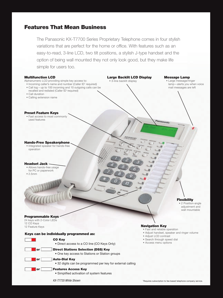# Features That Mean Business

The Panasonic KX-T7700 Series Proprietary Telephone comes in four stylish variations that are perfect for the home or office. With features such as an easy-to-read, 3-line LCD, two tilt positions, a stylish J-type handset and the option of being wall mounted they not only look good, but they make life simple for users too.

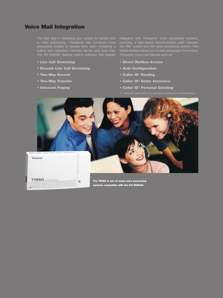# Voice Mail Integration

The final step in designing your system to handle calls built-in auto attendant, interview service and voice mail. The KX-TAW848 features built-in software that digitally

n

- Live Call Screening
- Remote Live Call Screening
- Two-Way Record
- Two-Way Transfer
- Intercom Paging

integrates with Panasonic voice processing systems, digital interface allows you to take advantage of innovative Panasonic voice mail features such as:

- Direct Mailbox Access
- Auto Configuration
- Caller ID<sup>1</sup> Routing
- Caller ID<sup>1</sup> Name Announce
- Caller ID<sup>1</sup> Personal Greeting
- 



The TVS50 is one of many voice processing systems compatible with the KX-TAW848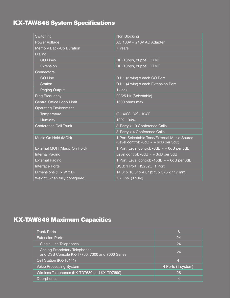# KX-TAW848 System Specifications

| Switching                          | Non Blocking                                                                               |  |
|------------------------------------|--------------------------------------------------------------------------------------------|--|
| Power Voltage                      | AC 100V ~ 240V AC Adapter                                                                  |  |
| Memory Back-Up Duration            | 7 Years                                                                                    |  |
| Dialing                            |                                                                                            |  |
| <b>CO Lines</b>                    | DP (10pps, 20pps), DTMF                                                                    |  |
| Extension                          | DP (10pps, 20pps), DTMF                                                                    |  |
| Connectors                         |                                                                                            |  |
| <b>CO Line</b>                     | RJ11 (2 wire) x each CO Port                                                               |  |
| <b>Station</b>                     | RJ11 (4 wire) x each Extension Port                                                        |  |
| Paging Output                      | 1 Jack                                                                                     |  |
| <b>Ring Frequency</b>              | 20/25 Hz (Selectable)                                                                      |  |
| Central Office Loop Limit          | 1600 ohms max.                                                                             |  |
| <b>Operating Environment</b>       |                                                                                            |  |
| Temperature                        | $0^\circ$ - 40 $^\circ$ C, 32 $^\circ$ - 104 $^\circ$ F                                    |  |
| Humidity                           | 10% - 90%                                                                                  |  |
| <b>Conference Call Trunk</b>       | 3-Party x 10 Conference Calls                                                              |  |
|                                    | 8-Party x 4 Conference Calls                                                               |  |
| Music On Hold (MOH)                | 1 Port Selectable Tone/External Music Source<br>(Level control: -6dB $\sim$ + 6dB per 3dB) |  |
| External MOH (Music On Hold)       | 1 Port (Level control: -6dB $\sim$ + 6dB per 3dB)                                          |  |
| <b>Internal Paging</b>             | Level control: $-6dB \sim +3dB$ per 3dB                                                    |  |
| <b>External Paging</b>             | 1 Port (Level control: -15dB $\sim$ +6dB per 3dB)                                          |  |
| <b>Interface Ports</b>             | USB: 1 Port RS232C: 1 Port                                                                 |  |
| Dimensions $(H \times W \times D)$ | 14.8" x 10.8" x 4.6" (275 x 376 x 117 mm)                                                  |  |
| Weight (when fully configured)     | 7.7 Lbs. (3.5 kg)                                                                          |  |

# KX-TAW848 Maximum Capacities

| <b>Trunk Ports</b>                                                                     | 8                  |
|----------------------------------------------------------------------------------------|--------------------|
| <b>Extension Ports</b>                                                                 | 24                 |
| Single Line Telephones                                                                 | 24                 |
| <b>Analog Proprietary Telephones</b><br>and DSS Console KX-T7700, 7300 and 7000 Series | 24                 |
| Cell Station (KX-T0141)                                                                | $\overline{A}$     |
| <b>Voice Processing System</b>                                                         | 4 Ports (1 system) |
| Wireless Telephones (KX-TD7680 and KX-TD7690)                                          | 28                 |
| Doorphones                                                                             | 4                  |